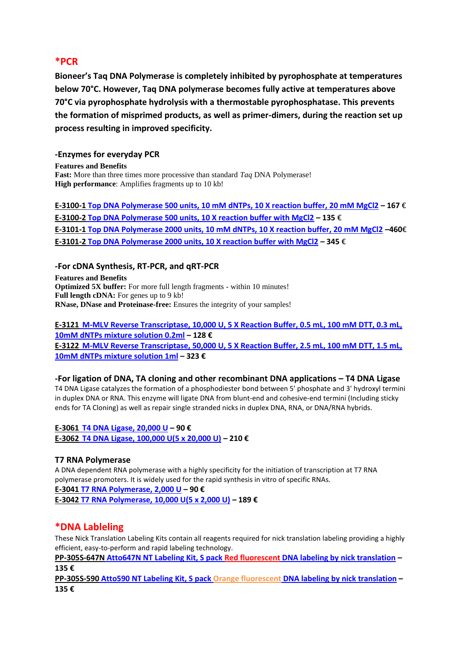# **\*PCR**

**Bioneer's Taq DNA Polymerase is completely inhibited by pyrophosphate at temperatures below 70°C. However, Taq DNA polymerase becomes fully active at temperatures above 70°C via pyrophosphate hydrolysis with a thermostable pyrophosphatase. This prevents the formation of misprimed products, as well as primer-dimers, during the reaction set up process resulting in improved specificity.**

## **-Enzymes for everyday PCR**

**Features and Benefits Fast:** More than three times more processive than standard *Taq* DNA Polymerase! **High performance**: Amplifies fragments up to 10 kb!

**E-3100-1 [Top DNA Polymerase 500 units, 10 mM dNTPs, 10 X reaction buffer, 20 mM MgCl2](http://www.antibody-antibodies.com/product1090873-search-includes__10_mM_dNTP,_10_x_reaction_buffer,_20mM_MgCl2.html) – 167** € **E-3100-2 [Top DNA Polymerase 500 units, 10 X reaction buffer with MgCl2](http://www.antibody-antibodies.com/product1090872-search-includes__10_x_reaction_buffer_with_MgCl2.html) – 135** € **E-3101-1 [Top DNA Polymerase 2000 units, 10 mM dNTPs, 10 X reaction buffer, 20 mM MgCl2](http://www.antibody-antibodies.com/product1090869-search-includes__10_mM_dNTPs,_10_x_reaction_buffer,_20_mM_MgCl2.html) –460**€ **E-3101-2 [Top DNA Polymerase 2000 units, 10 X reaction buffer with MgCl2](http://www.antibody-antibodies.com/product1090868-search-includes__10_x_reaction_buffer_with_MgCl2.html) – 345** €

## **-For cDNA Synthesis, RT-PCR, and qRT-PCR**

**Features and Benefits Optimized 5X buffer:** For more full length fragments - within 10 minutes! **Full length cDNA:** For genes up to 9 kb! **RNase, DNase and Proteinase-free:** Ensures the integrity of your samples!

**E-3121 [M-MLV Reverse Transcriptase, 10,000 U, 5 X Reaction Buffer, 0.5 mL, 100 mM DTT, 0.3 mL,](http://www.antibody-antibodies.com/product1090860-search-Includes__5_X_reaction_buffer,_100_mM_DTT.html)  [10mM dNTPs mixture solution 0.2ml](http://www.antibody-antibodies.com/product1090860-search-Includes__5_X_reaction_buffer,_100_mM_DTT.html) – 128 € E-3122 [M-MLV Reverse Transcriptase, 50,000 U, 5 X Reaction Buffer, 2.5 mL, 100 mM DTT, 1.5 mL,](http://www.antibody-antibodies.com/product1090859-search-5_tubes_of_10,000_Units_Includes__5_X_reaction_buffer,_100_mM_DTT.html)  [10mM dNTPs mixture solution 1ml](http://www.antibody-antibodies.com/product1090859-search-5_tubes_of_10,000_Units_Includes__5_X_reaction_buffer,_100_mM_DTT.html) – 323 €**

**-For ligation of DNA, TA cloning and other recombinant DNA applications – T4 DNA Ligase** T4 DNA Ligase catalyzes the formation of a phosphodiester bond between 5' phosphate and 3' hydroxyl termini in duplex DNA or RNA. This enzyme will ligate DNA from blunt-end and cohesive-end termini (Including sticky ends for TA Cloning) as well as repair single stranded nicks in duplex DNA, RNA, or DNA/RNA hybrids.

**E-3061 [T4 DNA Ligase, 20,000 U](http://www.antibody-antibodies.com/product1090849-search-Includes__10_X_reaction_buffer,_100mM_MgCl2,_50mM_DTT,_10mM_ATP,_25_ug_mL_BSA.html) – 90 € E-3062 [T4 DNA Ligase, 100,000 U\(5 x 20,000 U\)](http://www.antibody-antibodies.com/product1090848-search-Includes__10_X_reaction_buffer,_100mM_MgCl2,_50mM_DTT,_10mM_ATP,_25_ug_mL_BSA.html) – 210 €**

## **T7 RNA Polymerase**

A DNA dependent RNA polymerase with a highly specificity for the initiation of transcription at T7 RNA polymerase promoters. It is widely used for the rapid synthesis in vitro of specific RNAs.

**E-3041 [T7 RNA Polymerase, 2,000 U](http://www.antibody-antibodies.com/product1090851-search-T7_RNA_Polymerase_Includes__10_X_reaction_buffer,_100_mM_DTT.html) – 90 € E-3042 [T7 RNA Polymerase, 10,000 U\(5 x 2,000 U\)](http://www.antibody-antibodies.com/product1090850-search-T7_RNA_Polymerase_Includes__10_X_reaction_buffer,_100_mM_DTT.html) – 189 €**

# **\*DNA Lableling**

These Nick Translation Labeling Kits contain all reagents required for nick translation labeling providing a highly efficient, easy-to-perform and rapid labeling technology.

**PP-305S-647N [Atto647N NT Labeling Kit, S pack Red fluorescent](http://www.antibody-antibodies.com/product230971-search-Atto647N_NT_Labeling_Kit,_S_pack_Red_fluorescent_DNA_labeling_by_nick_translation_.html) DNA labeling by nick translation – 135 €**

**PP-305S-590 [Atto590 NT Labeling Kit, S pack Orange fluorescent](http://www.antibody-antibodies.com/product230970-search-Atto590_NT_Labeling_Kit,_S_pack_Orange_fluorescent_DNA_labeling_by_nick_translation_.html) DNA labeling by nick translation – 135 €**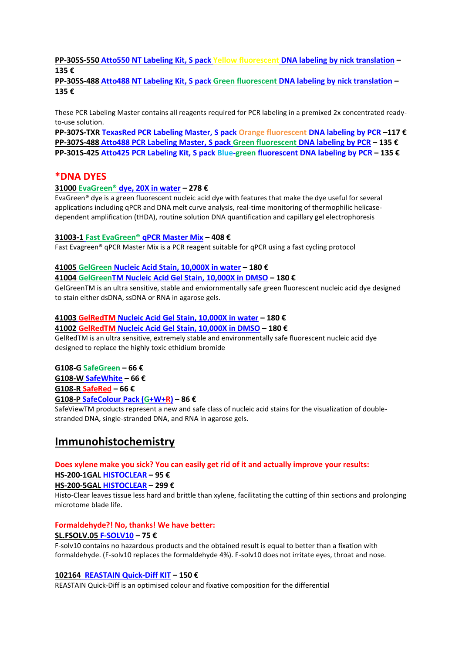## **PP-305S-550 [Atto550 NT Labeling Kit, S pack Yellow fluorescent](http://www.antibody-antibodies.com/product230969-search-Atto550_NT_Labeling_Kit,_S_pack_Yellow_fluorescent_DNA_labeling_by_nick_translation_.html) DNA labeling by nick translation – 135 €**

**PP-305S-488 [Atto488 NT Labeling Kit, S pack Green fluorescent](http://www.antibody-antibodies.com/product230968-search-Atto488_NT_Labeling_Kit,_S_pack_Green_fluorescent_DNA_labeling_by_nick_translation_.html) DNA labeling by nick translation – 135 €**

These PCR Labeling Master contains all reagents required for PCR labeling in a premixed 2x concentrated readyto-use solution.

**PP-307S-TXR [TexasRed PCR Labeling Master, S pack Orange fluorescent](http://www.antibody-antibodies.com/product1998782-search-TexasRed_PCR_Labeling_Master,_S_pack_Orange_fluorescent_DNA_labeling_by_PCR.html) DNA labeling by PCR –117 € PP-307S-488 [Atto488 PCR Labeling Master, S pack Green fluorescent](http://www.antibody-antibodies.com/product230990-search-Atto488_PCR_Labeling_Master,_S_pack_Green_fluorescent_DNA_labeling_by_PCR_.html) DNA labeling by PCR – 135 € PP-301S-425 [Atto425 PCR Labeling Kit, S pack Blue-green](http://www.antibody-antibodies.com/product230929-search-Atto425_PCR_Labeling_Kit,_S_pack_Blue_green_fluorescent_DNA_labeling_by_PCR_.html) fluorescent DNA labeling by PCR – 135 €**

## **\*DNA DYES**

## **31000 EvaGreen® [dye, 20X in water](http://www.antibody-antibodies.com/product183736-search-EVAGREEN,20X.html) – 278 €**

EvaGreen® dye is a green fluorescent nucleic acid dye with features that make the dye useful for several applications including qPCR and DNA melt curve analysis, real-time monitoring of thermophilic helicasedependent amplification (tHDA), routine solution DNA quantification and capillary gel electrophoresis

## **31003-1 Fast EvaGreen® [qPCR Master Mix](http://www.antibody-antibodies.com/product183741-search-Fast_EvaGreen_Master_Mix_for_qPCR_and_HRM_%28500_rxn%29.html) – 408 €**

Fast Evagreen® qPCR Master Mix is a PCR reagent suitable for qPCR using a fast cycling protocol

## **41005 GelGreen [Nucleic Acid Stain, 10,000X in water](http://www.antibody-antibodies.com/product1069371-search-GELGREEN_NUCLEIC_ACID_GEL_STAIN_IN_WATER.html) – 180 €**

## **41004 [GelGreenTM Nucleic Acid Gel Stain, 10,000X in DMSO](http://www.antibody-antibodies.com/product1069372-search-GELGREEN_NUCLEIC_ACID_GEL_STAIN_IN_DMSO.html) – 180 €**

GelGreenTM is an ultra sensitive, stable and enviornmentally safe green fluorescent nucleic acid dye designed to stain either dsDNA, ssDNA or RNA in agarose gels.

## **41003 GelRedTM [Nucleic Acid Gel Stain, 10,000X in water](http://www.antibody-antibodies.com/product1069374-search-GELRED_NUCLEIC_ACID_GEL_STAIN_IN_WATER.html) – 180 €**

## **41002 GelRedTM [Nucleic Acid Gel Stain, 10,000X in DMSO](http://www.antibody-antibodies.com/product1069376-search-GELRED_NUCLEIC_ACID_GEL_STAIN_IN_DMSO.html) – 180 €**

GelRedTM is an ultra sensitive, extremely stable and environmentally safe fluorescent nucleic acid dye designed to replace the highly toxic ethidium bromide

## **G108-G [SafeGreen](http://www.antibody-antibodies.com/product17306-search-SafeGreen.html) – 66 €**

## **G108-W [SafeWhite](http://www.antibody-antibodies.com/product370981-search-SafeWhite.html) – 66 €**

**G108-R [SafeRed](http://www.antibody-antibodies.com/product370979-search-SafeRed.html) – 66 €**

## **G108-P [SafeColour Pack \(G+W+R\)](http://www.antibody-antibodies.com/product370983-search-SafeColour_Pack.html) – 86 €**

SafeViewTM products represent a new and safe class of nucleic acid stains for the visualization of doublestranded DNA, single-stranded DNA, and RNA in agarose gels.

# **Immunohistochemistry**

## **Does xylene make you sick? You can easily get rid of it and actually improve your results:**

## **[HS-200-1GAL](http://www.antibody-antibodies.com/product245747-search-HISTOCLEAR.html) HISTOCLEAR – 95 €**

## **[HS-200-5GAL](http://www.antibody-antibodies.com/product245748-search-HISTOCLEAR.html) HISTOCLEAR – 299 €**

Histo-Clear leaves tissue less hard and brittle than xylene, facilitating the cutting of thin sections and prolonging microtome blade life.

## **Formaldehyde?! No, thanks! We have better:**

## **[SL.FSOLV.05](http://www.antibody-antibodies.com/product3165013-search-5_L_F_Solv___100_percent__Formaldehyde_free___Buffered___pH_Neutral_%28Replaces_the_known_fixator_formaldehyde_40_percent_%29.html) F-SOLV10 – 75 €**

F-solv10 contains no hazardous products and the obtained result is equal to better than a fixation with formaldehyde. (F-solv10 replaces the formaldehyde 4%). F-solv10 does not irritate eyes, throat and nose.

## **[102164 REASTAIN Quick-Diff KIT](http://www.antibody-antibodies.com/product280020-search-REASTAIN_Quick_Diff_KIT.html) – 150 €**

REASTAIN Quick-Diff is an optimised colour and fixative composition for the differential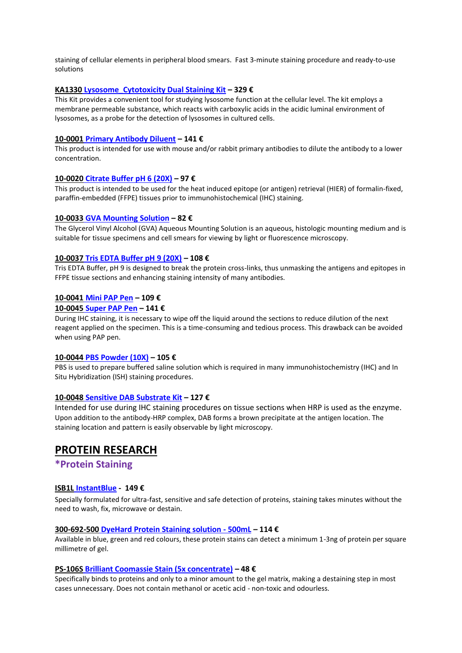staining of cellular elements in peripheral blood smears. Fast 3-minute staining procedure and ready-to-use solutions

### **KA1330 [Lysosome\\_Cytotoxicity Dual Staining Kit](http://www.antibody-antibodies.com/product2154579-search-Lysosome_Cytotoxicity_Dual_Staining_Kit.html) – 329 €**

This Kit provides a convenient tool for studying lysosome function at the cellular level. The kit employs a membrane permeable substance, which reacts with carboxylic acids in the acidic luminal environment of lysosomes, as a probe for the detection of lysosomes in cultured cells.

#### **10-0001 [Primary Antibody Diluent](http://www.antibody-antibodies.com/product1861395-search-Primary_Antibody_Diluent.html) – 141 €**

This product is intended for use with mouse and/or rabbit primary antibodies to dilute the antibody to a lower concentration.

#### **10-0020 [Citrate Buffer pH 6 \(20X\)](http://www.antibody-antibodies.com/product1861406-search-Citrate_Buffer_pH_6_%2820X%29_.html) – 97 €**

This product is intended to be used for the heat induced epitope (or antigen) retrieval (HIER) of formalin-fixed, paraffin-embedded (FFPE) tissues prior to immunohistochemical (IHC) staining.

## **10-0033 [GVA Mounting Solution](http://www.antibody-antibodies.com/product1861416-search-GVA_Mounting_Solution_.html) – 82 €**

The Glycerol Vinyl Alcohol (GVA) Aqueous Mounting Solution is an aqueous, histologic mounting medium and is suitable for tissue specimens and cell smears for viewing by light or fluorescence microscopy.

## **10-0037 [Tris EDTA Buffer pH 9 \(20X\)](http://www.antibody-antibodies.com/product1861419-search-Tris_EDTA_Buffer_pH_9_%2820X%29.html) – 108 €**

Tris EDTA Buffer, pH 9 is designed to break the protein cross-links, thus unmasking the antigens and epitopes in FFPE tissue sections and enhancing staining intensity of many antibodies.

#### **10-0041 [Mini PAP Pen](http://www.antibody-antibodies.com/product1861422-search-Mini_PAP_Pen.html) – 109 €**

#### **10-0045 [Super PAP Pen](http://www.antibody-antibodies.com/product1861424-search-Super_PAP_Pen.html) – 141 €**

During IHC staining, it is necessary to wipe off the liquid around the sections to reduce dilution of the next reagent applied on the specimen. This is a time-consuming and tedious process. This drawback can be avoided when using PAP pen.

#### **10-0044 [PBS Powder \(10X\)](http://www.antibody-antibodies.com/product1861423-search-PBS_Powder_%2810X%29.html) – 105 €**

PBS is used to prepare buffered saline solution which is required in many immunohistochemistry (IHC) and In Situ Hybridization (ISH) staining procedures.

#### **10-0048 [Sensitive DAB Substrate Kit](http://www.antibody-antibodies.com/product1861427-search-Sensitive_DAB_Substrate_Kit.html) – 127 €**

Intended for use during IHC staining procedures on tissue sections when HRP is used as the enzyme. Upon addition to the antibody-HRP complex, DAB forms a brown precipitate at the antigen location. The staining location and pattern is easily observable by light microscopy.

## **PROTEIN RESEARCH**

## **\*Protein Staining**

#### **ISB1L [InstantBlue](http://www.antibody-antibodies.com/uk/product208823-search-InstantBlue___1L.html) - 149 €**

Specially formulated for ultra-fast, sensitive and safe detection of proteins, staining takes minutes without the need to wash, fix, microwave or destain.

#### **300-692-500 [DyeHard Protein Staining solution -](http://www.antibody-antibodies.com/product1770696-search-DyeHard_Protein_Staining_solution___500mL.html) 500mL – 114 €**

Available in blue, green and red colours, these protein stains can detect a minimum 1-3ng of protein per square millimetre of gel.

#### **PS-106S [Brilliant Coomassie Stain \(5x concentrate\)](http://www.antibody-antibodies.com/product1999591-search-Brilliant_Coomassie_Stain_%285x_concentrate%29,_S_pack_Protein_Gel_Staining_Solution.html) – 48 €**

Specifically binds to proteins and only to a minor amount to the gel matrix, making a destaining step in most cases unnecessary. Does not contain methanol or acetic acid - non-toxic and odourless.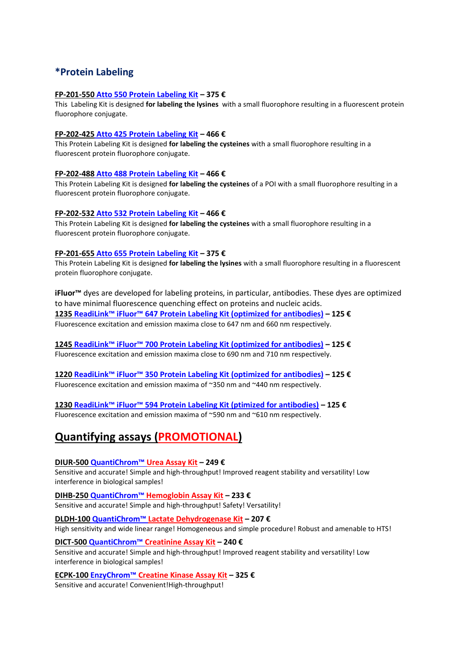# **\*Protein Labeling**

## **FP-201-550 [Atto 550 Protein Labeling Kit](http://www.antibody-antibodies.com/product228107-search-Atto_550_Protein_Labeling_Kit,_Kit_Fluorescent_labeling_of_primary_amino_groups_.html) – 375 €**

This Labeling Kit is designed **for labeling the lysines** with a small fluorophore resulting in a fluorescent protein fluorophore conjugate.

## **FP-202-425 [Atto 425 Protein Labeling Kit](http://www.antibody-antibodies.com/product1763596-search-Atto_425_Protein_Labeling_Kit,_Kit.html) – 466 €**

This Protein Labeling Kit is designed **for labeling the cysteines** with a small fluorophore resulting in a fluorescent protein fluorophore conjugate.

## **FP-202-488 [Atto 488 Protein Labeling Kit](http://www.antibody-antibodies.com/product1763597-search-Atto_488_Protein_Labeling_Kit,_Kit.html) – 466 €**

This Protein Labeling Kit is designed **for labeling the cysteines** of a POI with a small fluorophore resulting in a fluorescent protein fluorophore conjugate.

## **FP-202-532 [Atto 532 Protein Labeling Kit](http://www.antibody-antibodies.com/product1763598-search-Atto_532_Protein_Labeling_Kit,_Kit.html) – 466 €**

This Protein Labeling Kit is designed **for labeling the cysteines** with a small fluorophore resulting in a fluorescent protein fluorophore conjugate.

## **FP-201-655 [Atto 655 Protein Labeling Kit](http://www.antibody-antibodies.com/product228110-search-Atto_655_Protein_Labeling_Kit,_Kit_Fluorescent_labeling_of_primary_amino_groups_.html) – 375 €**

This Protein Labeling Kit is designed **for labeling the lysines** with a small fluorophore resulting in a fluorescent protein fluorophore conjugate.

**iFluor™** dyes are developed for labeling proteins, in particular, antibodies. These dyes are optimized to have minimal fluorescence quenching effect on proteins and nucleic acids. **1235 ReadiLink™ iFluor™ 647 Prote[in Labeling Kit \(optimized for antibodies\)](http://www.antibody-antibodies.com/product1560319-search-ReadiLink%E2%84%A2_iFluor%E2%84%A2_647_Protein_Labeling_Kit_*Microscale_Optimized_for_Labeling_100_%C2%B5g_Antibody_Per_Reaction*.html) – 125 €** Fluorescence excitation and emission maxima close to 647 nm and 660 nm respectively.

**1245 [ReadiLink™ iFluor™ 700 Protein Labeling Kit \(optimized for antibodies\)](http://www.antibody-antibodies.com/product1560325-search-ReadiLink%E2%84%A2_iFluor%E2%84%A2_700_Protein_Labeling_Kit_*Microscale_Optimized_for_Labeling_100_%C2%B5g_Antibody_Per_Reaction*.html) – 125 €** Fluorescence excitation and emission maxima close to 690 nm and 710 nm respectively.

**1220 [ReadiLink™ iFluor™ 350 Protein Labeling Kit](http://www.antibody-antibodies.com/product1560307-search-ReadiLink%E2%84%A2_iFluor%E2%84%A2_350_Protein_Labeling_Kit_*Microscale_Optimized_for_Labeling_100_%C2%B5g_Antibody_Per_Reaction*.html) (optimized for antibodies) – 125 €** Fluorescence excitation and emission maxima of ~350 nm and ~440 nm respectively.

**1230 [ReadiLink™ iFluor™ 594 Protein Labeling Kit \(ptimized for antibodies\)](http://www.antibody-antibodies.com/product1560316-search-ReadiLink%E2%84%A2_iFluor%E2%84%A2_594_Protein_Labeling_Kit_*Microscale_Optimized_for_Labeling_100_%C2%B5g_Antibody_Per_Reaction*.html) – 125 €** Fluorescence excitation and emission maxima of ~590 nm and ~610 nm respectively.

# **Quantifying assays (PROMOTIONAL)**

## **DIUR-500 [QuantiChrom™](http://www.antibody-antibodies.com/product2796569-search-QuantiChrom%E2%84%A2_Urea_Assay_Kit.html) Urea Assay Kit – 249 €**

Sensitive and accurate! Simple and high-throughput! Improved reagent stability and versatility! Low interference in biological samples!

**DIHB-250 QuantiChrom™ [Hemoglobin Assay Kit](http://www.antibody-antibodies.com/product179603-search-QuantiChrom%E2%84%A2_Hemoglobin_Assay_Kit.html) – 233 €** Sensitive and accurate! Simple and high-throughput! Safety! Versatility!

**DLDH-100 QuantiChrom™ [Lactate Dehydrogenase Kit](http://www.antibody-antibodies.com/product179612-search-QuantiChrom%E2%84%A2_Lactate_Dehydrogenase_Kit.html) – 207 €** High sensitivity and wide linear range! Homogeneous and simple procedure! Robust and amenable to HTS!

## **DICT-500 QuantiChrom™ [Creatinine Assay Kit](http://www.antibody-antibodies.com/product179596-search-QuantiChrom%E2%84%A2_Creatinine_Assay_Kit.html) – 240 €**

Sensitive and accurate! Simple and high-throughput! Improved reagent stability and versatility! Low interference in biological samples!

**ECPK-100 EnzyChrom™ [Creatine Kinase Assay Kit](http://www.antibody-antibodies.com/product179636-search-EnzyChrom%E2%84%A2_Creatine_Kinase_Assay_Kit.html) – 325 €**

Sensitive and accurate! Convenient!High-throughput!